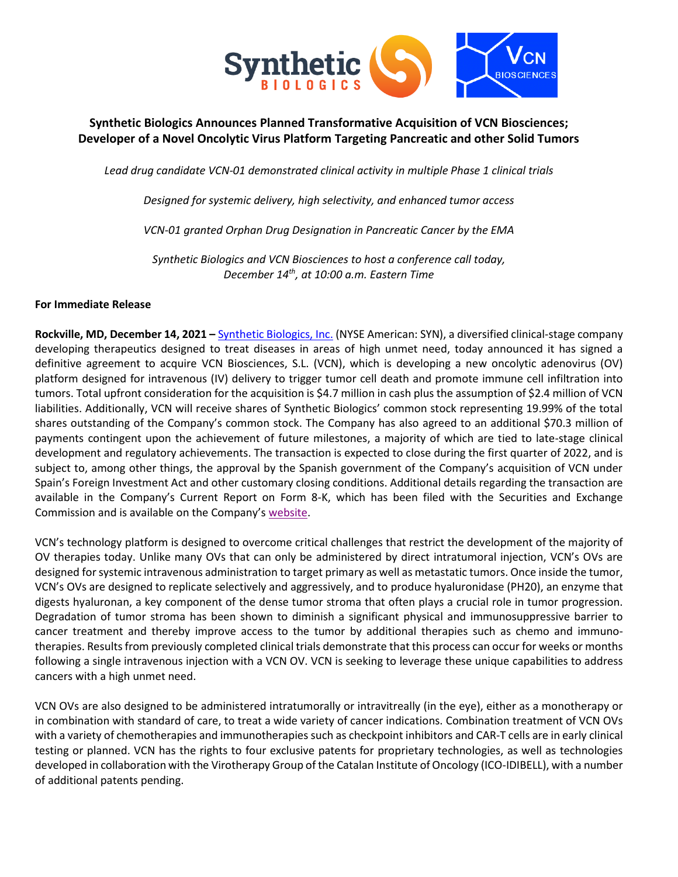

# **Synthetic Biologics Announces Planned Transformative Acquisition of VCN Biosciences; Developer of a Novel Oncolytic Virus Platform Targeting Pancreatic and other Solid Tumors**

*Lead drug candidate VCN-01 demonstrated clinical activity in multiple Phase 1 clinical trials*

*Designed for systemic delivery, high selectivity, and enhanced tumor access*

*VCN-01 granted Orphan Drug Designation in Pancreatic Cancer by the EMA*

*Synthetic Biologics and VCN Biosciences to host a conference call today, December 14th , at 10:00 a.m. Eastern Time*

## **For Immediate Release**

**Rockville, MD, December 14, 2021 –** [Synthetic Biologics, Inc.](http://www.syntheticbiologics.com/) (NYSE American: SYN), a diversified clinical-stage company developing therapeutics designed to treat diseases in areas of high unmet need, today announced it has signed a definitive agreement to acquire VCN Biosciences, S.L. (VCN), which is developing a new oncolytic adenovirus (OV) platform designed for intravenous (IV) delivery to trigger tumor cell death and promote immune cell infiltration into tumors. Total upfront consideration for the acquisition is \$4.7 million in cash plus the assumption of \$2.4 million of VCN liabilities. Additionally, VCN will receive shares of Synthetic Biologics' common stock representing 19.99% of the total shares outstanding of the Company's common stock. The Company has also agreed to an additional \$70.3 million of payments contingent upon the achievement of future milestones, a majority of which are tied to late-stage clinical development and regulatory achievements. The transaction is expected to close during the first quarter of 2022, and is subject to, among other things, the approval by the Spanish government of the Company's acquisition of VCN under Spain's Foreign Investment Act and other customary closing conditions. Additional details regarding the transaction are available in the Company's Current Report on Form 8-K, which has been filed with the Securities and Exchange Commission and is available on the Company's [website.](https://ir.syntheticbiologics.com/all-sec-filings)

VCN's technology platform is designed to overcome critical challenges that restrict the development of the majority of OV therapies today. Unlike many OVs that can only be administered by direct intratumoral injection, VCN's OVs are designed for systemic intravenous administration to target primary as well as metastatic tumors. Once inside the tumor, VCN's OVs are designed to replicate selectively and aggressively, and to produce hyaluronidase (PH20), an enzyme that digests hyaluronan, a key component of the dense tumor stroma that often plays a crucial role in tumor progression. Degradation of tumor stroma has been shown to diminish a significant physical and immunosuppressive barrier to cancer treatment and thereby improve access to the tumor by additional therapies such as chemo and immunotherapies. Results from previously completed clinical trials demonstrate that this process can occur for weeks or months following a single intravenous injection with a VCN OV. VCN is seeking to leverage these unique capabilities to address cancers with a high unmet need.

VCN OVs are also designed to be administered intratumorally or intravitreally (in the eye), either as a monotherapy or in combination with standard of care, to treat a wide variety of cancer indications. Combination treatment of VCN OVs with a variety of chemotherapies and immunotherapies such as checkpoint inhibitors and CAR-T cells are in early clinical testing or planned. VCN has the rights to four exclusive patents for proprietary technologies, as well as technologies developed in collaboration with the Virotherapy Group of the Catalan Institute of Oncology (ICO-IDIBELL), with a number of additional patents pending.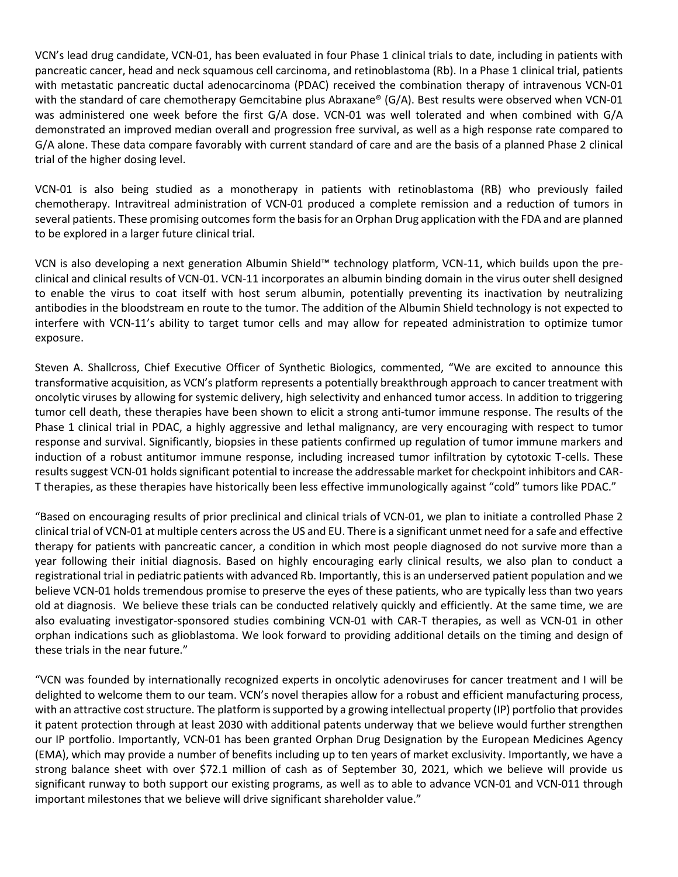VCN's lead drug candidate, VCN-01, has been evaluated in four Phase 1 clinical trials to date, including in patients with pancreatic cancer, head and neck squamous cell carcinoma, and retinoblastoma (Rb). In a Phase 1 clinical trial, patients with metastatic pancreatic ductal adenocarcinoma (PDAC) received the combination therapy of intravenous VCN-01 with the standard of care chemotherapy Gemcitabine plus Abraxane® (G/A). Best results were observed when VCN-01 was administered one week before the first G/A dose. VCN-01 was well tolerated and when combined with G/A demonstrated an improved median overall and progression free survival, as well as a high response rate compared to G/A alone. These data compare favorably with current standard of care and are the basis of a planned Phase 2 clinical trial of the higher dosing level.

VCN-01 is also being studied as a monotherapy in patients with retinoblastoma (RB) who previously failed chemotherapy. Intravitreal administration of VCN-01 produced a complete remission and a reduction of tumors in several patients. These promising outcomes form the basis for an Orphan Drug application with the FDA and are planned to be explored in a larger future clinical trial.

VCN is also developing a next generation Albumin Shield™ technology platform, VCN-11, which builds upon the preclinical and clinical results of VCN-01. VCN-11 incorporates an albumin binding domain in the virus outer shell designed to enable the virus to coat itself with host serum albumin, potentially preventing its inactivation by neutralizing antibodies in the bloodstream en route to the tumor. The addition of the Albumin Shield technology is not expected to interfere with VCN-11's ability to target tumor cells and may allow for repeated administration to optimize tumor exposure.

Steven A. Shallcross, Chief Executive Officer of Synthetic Biologics, commented, "We are excited to announce this transformative acquisition, as VCN's platform represents a potentially breakthrough approach to cancer treatment with oncolytic viruses by allowing for systemic delivery, high selectivity and enhanced tumor access. In addition to triggering tumor cell death, these therapies have been shown to elicit a strong anti-tumor immune response. The results of the Phase 1 clinical trial in PDAC, a highly aggressive and lethal malignancy, are very encouraging with respect to tumor response and survival. Significantly, biopsies in these patients confirmed up regulation of tumor immune markers and induction of a robust antitumor immune response, including increased tumor infiltration by cytotoxic T-cells. These results suggest VCN-01 holds significant potential to increase the addressable market for checkpoint inhibitors and CAR-T therapies, as these therapies have historically been less effective immunologically against "cold" tumors like PDAC."

"Based on encouraging results of prior preclinical and clinical trials of VCN-01, we plan to initiate a controlled Phase 2 clinical trial of VCN-01 at multiple centers across the US and EU. There is a significant unmet need for a safe and effective therapy for patients with pancreatic cancer, a condition in which most people diagnosed do not survive more than a year following their initial diagnosis. Based on highly encouraging early clinical results, we also plan to conduct a registrational trial in pediatric patients with advanced Rb. Importantly, this is an underserved patient population and we believe VCN-01 holds tremendous promise to preserve the eyes of these patients, who are typically less than two years old at diagnosis. We believe these trials can be conducted relatively quickly and efficiently. At the same time, we are also evaluating investigator-sponsored studies combining VCN-01 with CAR-T therapies, as well as VCN-01 in other orphan indications such as glioblastoma. We look forward to providing additional details on the timing and design of these trials in the near future."

"VCN was founded by internationally recognized experts in oncolytic adenoviruses for cancer treatment and I will be delighted to welcome them to our team. VCN's novel therapies allow for a robust and efficient manufacturing process, with an attractive cost structure. The platform is supported by a growing intellectual property (IP) portfolio that provides it patent protection through at least 2030 with additional patents underway that we believe would further strengthen our IP portfolio. Importantly, VCN-01 has been granted Orphan Drug Designation by the European Medicines Agency (EMA), which may provide a number of benefits including up to ten years of market exclusivity. Importantly, we have a strong balance sheet with over \$72.1 million of cash as of September 30, 2021, which we believe will provide us significant runway to both support our existing programs, as well as to able to advance VCN-01 and VCN-011 through important milestones that we believe will drive significant shareholder value."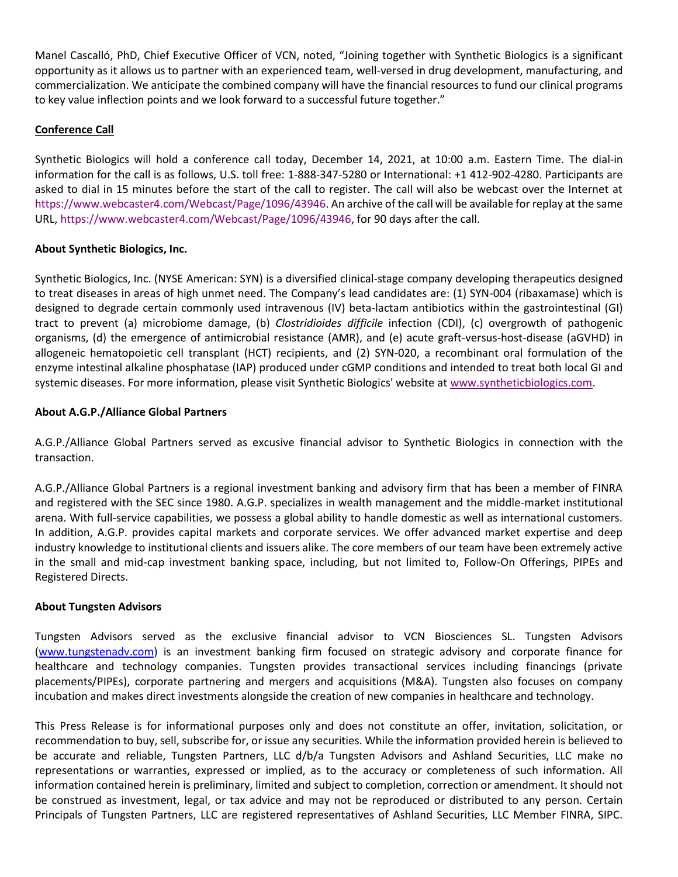Manel Cascalló, PhD, Chief Executive Officer of VCN, noted, "Joining together with Synthetic Biologics is a significant opportunity as it allows us to partner with an experienced team, well-versed in drug development, manufacturing, and commercialization. We anticipate the combined company will have the financial resources to fund our clinical programs to key value inflection points and we look forward to a successful future together."

# **Conference Call**

Synthetic Biologics will hold a conference call today, December 14, 2021, at 10:00 a.m. Eastern Time. The dial-in information for the call is as follows, U.S. toll free: 1-888-347-5280 or International: +1 412-902-4280. Participants are asked to dial in 15 minutes before the start of the call to register. The call will also be webcast over the Internet at [https://www.webcaster4.com/Webcast/Page/1096/43946.](https://www.webcaster4.com/Webcast/Page/1096/43946) An archive of the call will be available for replay at the same URL[, https://www.webcaster4.com/Webcast/Page/1096/43946,](https://www.webcaster4.com/Webcast/Page/1096/43946) for 90 days after the call.

### **About Synthetic Biologics, Inc.**

Synthetic Biologics, Inc. (NYSE American: SYN) is a diversified clinical-stage company developing therapeutics designed to treat diseases in areas of high unmet need. The Company's lead candidates are: (1) SYN-004 (ribaxamase) which is designed to degrade certain commonly used intravenous (IV) beta-lactam antibiotics within the gastrointestinal (GI) tract to prevent (a) microbiome damage, (b) *Clostridioides difficile* infection (CDI), (c) overgrowth of pathogenic organisms, (d) the emergence of antimicrobial resistance (AMR), and (e) acute graft-versus-host-disease (aGVHD) in allogeneic hematopoietic cell transplant (HCT) recipients, and (2) SYN-020, a recombinant oral formulation of the enzyme intestinal alkaline phosphatase (IAP) produced under cGMP conditions and intended to treat both local GI and systemic diseases. For more information, please visit Synthetic Biologics' website a[t www.syntheticbiologics.com.](http://www.syntheticbiologics.com/)

### **About A.G.P./Alliance Global Partners**

A.G.P./Alliance Global Partners served as excusive financial advisor to Synthetic Biologics in connection with the transaction.

A.G.P./Alliance Global Partners is a regional investment banking and advisory firm that has been a member of FINRA and registered with the SEC since 1980. A.G.P. specializes in wealth management and the middle-market institutional arena. With full-service capabilities, we possess a global ability to handle domestic as well as international customers. In addition, A.G.P. provides capital markets and corporate services. We offer advanced market expertise and deep industry knowledge to institutional clients and issuers alike. The core members of our team have been extremely active in the small and mid-cap investment banking space, including, but not limited to, Follow-On Offerings, PIPEs and Registered Directs.

### **About Tungsten Advisors**

Tungsten Advisors served as the exclusive financial advisor to VCN Biosciences SL. Tungsten Advisors [\(www.tungstenadv.com\)](http://www.tungstenadv.com/) is an investment banking firm focused on strategic advisory and corporate finance for healthcare and technology companies. Tungsten provides transactional services including financings (private placements/PIPEs), corporate partnering and mergers and acquisitions (M&A). Tungsten also focuses on company incubation and makes direct investments alongside the creation of new companies in healthcare and technology.

This Press Release is for informational purposes only and does not constitute an offer, invitation, solicitation, or recommendation to buy, sell, subscribe for, or issue any securities. While the information provided herein is believed to be accurate and reliable, Tungsten Partners, LLC d/b/a Tungsten Advisors and Ashland Securities, LLC make no representations or warranties, expressed or implied, as to the accuracy or completeness of such information. All information contained herein is preliminary, limited and subject to completion, correction or amendment. It should not be construed as investment, legal, or tax advice and may not be reproduced or distributed to any person. Certain Principals of Tungsten Partners, LLC are registered representatives of Ashland Securities, LLC Member FINRA, SIPC.